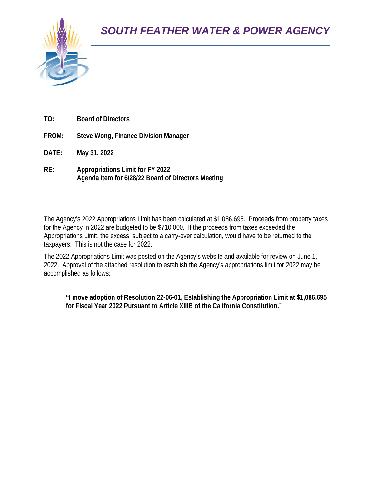

- **TO: Board of Directors**
- **FROM: Steve Wong, Finance Division Manager**
- **DATE: May 31, 2022**
- **RE: Appropriations Limit for FY 2022 Agenda Item for 6/28/22 Board of Directors Meeting**

The Agency's 2022 Appropriations Limit has been calculated at \$1,086,695. Proceeds from property taxes for the Agency in 2022 are budgeted to be \$710,000. If the proceeds from taxes exceeded the Appropriations Limit, the excess, subject to a carry-over calculation, would have to be returned to the taxpayers. This is not the case for 2022.

The 2022 Appropriations Limit was posted on the Agency's website and available for review on June 1, 2022. Approval of the attached resolution to establish the Agency's appropriations limit for 2022 may be accomplished as follows:

**"I move adoption of Resolution 22-06-01, Establishing the Appropriation Limit at \$1,086,695 for Fiscal Year 2022 Pursuant to Article XIIIB of the California Constitution."**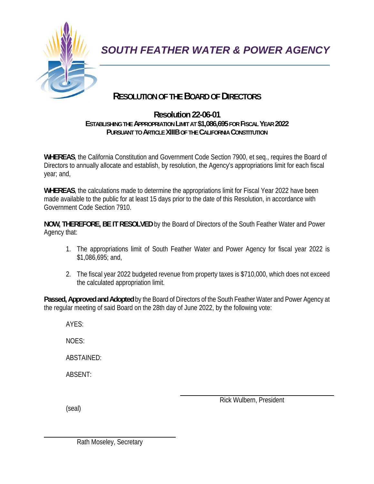

# **RESOLUTION OF THE BOARD OF DIRECTORS**

### **Resolution 22-06-01 ESTABLISHING THE APPROPRIATION LIMIT AT \$1,086,695 FOR FISCAL YEAR 2022 PURSUANT TO ARTICLE XIIIB OF THE CALIFORNIA CONSTITUTION**

**WHEREAS**, the California Constitution and Government Code Section 7900, et seq., requires the Board of Directors to annually allocate and establish, by resolution, the Agency's appropriations limit for each fiscal year; and,

**WHEREAS**, the calculations made to determine the appropriations limit for Fiscal Year 2022 have been made available to the public for at least 15 days prior to the date of this Resolution, in accordance with Government Code Section 7910.

**NOW, THEREFORE, BE IT RESOLVED** by the Board of Directors of the South Feather Water and Power Agency that:

- 1. The appropriations limit of South Feather Water and Power Agency for fiscal year 2022 is \$1,086,695; and,
- 2. The fiscal year 2022 budgeted revenue from property taxes is \$710,000, which does not exceed the calculated appropriation limit.

**Passed, Approved and Adopted** by the Board of Directors of the South Feather Water and Power Agency at the regular meeting of said Board on the 28th day of June 2022, by the following vote:

AYES:

NOES:

ABSTAINED:

ABSENT:

(seal)

 $\overline{\phantom{a}}$ 

Rick Wulbern, President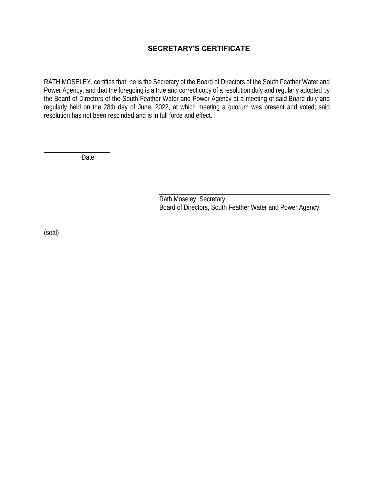## **SECRETARY'S CERTIFICATE**

RATH MOSELEY, certifies that: he is the Secretary of the Board of Directors of the South Feather Water and Power Agency; and that the foregoing is a true and correct copy of a resolution duly and regularly adopted by the Board of Directors of the South Feather Water and Power Agency at a meeting of said Board duly and regularly held on the 28th day of June, 2022, at which meeting a quorum was present and voted; said resolution has not been rescinded and is in full force and effect.

Date

 Rath Moseley, Secretary Board of Directors, South Feather Water and Power Agency

(seal)

 $\overline{\phantom{a}}$